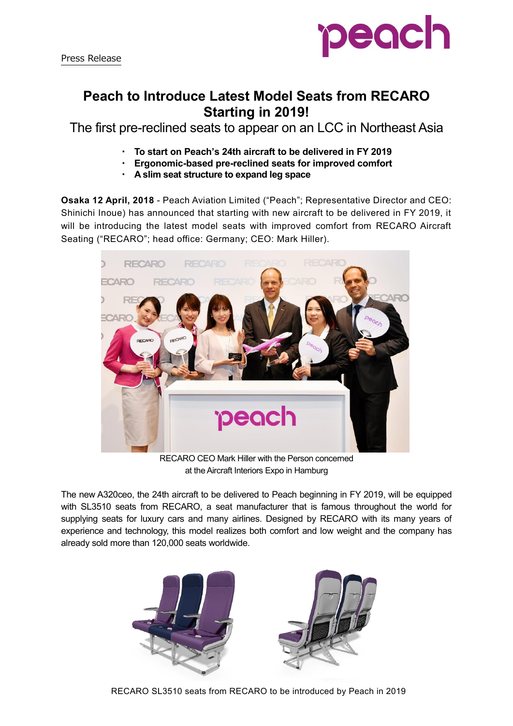

## **Peach to Introduce Latest Model Seats from RECARO Starting in 2019!**

The first pre-reclined seats to appear on an LCC in Northeast Asia

- ・ **To start on Peach's 24th aircraft to be delivered in FY 2019**
- ・ **Ergonomic-based pre-reclined seats for improved comfort**
- ・ **A slim seat structure to expand leg space**

**Osaka 12 April, 2018** - Peach Aviation Limited ("Peach"; Representative Director and CEO: Shinichi Inoue) has announced that starting with new aircraft to be delivered in FY 2019, it will be introducing the latest model seats with improved comfort from RECARO Aircraft Seating ("RECARO"; head office: Germany; CEO: Mark Hiller).



RECARO CEO Mark Hiller with the Person concerned at the Aircraft Interiors Expo in Hamburg

The new A320ceo, the 24th aircraft to be delivered to Peach beginning in FY 2019, will be equipped with SL3510 seats from RECARO, a seat manufacturer that is famous throughout the world for supplying seats for luxury cars and many airlines. Designed by RECARO with its many years of experience and technology, this model realizes both comfort and low weight and the company has already sold more than 120,000 seats worldwide.



RECARO SL3510 seats from RECARO to be introduced by Peach in 2019